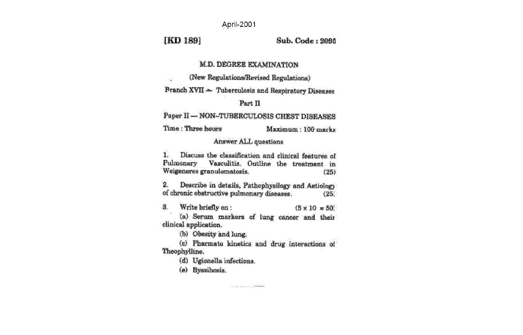April-2001

**[KD 189]** 

Sub. Code : 2005

#### **M.D. DEGREE EXAMINATION**

(New Regulations/Revised Regulations)  $\sim 30$ 

**Pranch XVII - Tuberculosis and Respiratory Diseases** 

#### Part II

Paper II - NON-TUBERCULOSIS CHEST DISEASES

Time: Three hours Maximum: 100 marks

#### Answer ALL questions

Discuss the classification and clinical features of 1. Pulmonary Vasculitis. Outline the treatment in Weigeneres granulomatosis.  $(25)$ 

 $\tilde{\mathbf{z}}$ Describe in details, Pathophysilogy and Actiology of chronic obstructive pulmonary diseases. (25)

ā. Write briefly on :  $(5 \times 10 \times 50)$ 

(a) Serum markers of lung cancer and their clinical application.

(b) Obeaty and lung.

(c) Pharmato kinetics and drug interactions of Theophylline.

and the company of the company of the company of the company of the company of the company of the company of the company of the company of the company of the company of the company of the company of the company of the comp

(d) Ugionalia infections.

(e) Byzaihosis.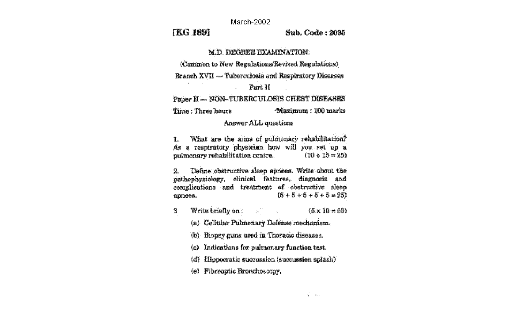March-2002

# **IKG 1891**

Sub. Code: 2005

#### **M.D. DEGREE EXAMINATION.**

(Common to New Regulations/Revised Regulations)

Branch XVII — Tuberculosis and Respiratory Diseases

#### Part II

Paper II - NON-TUBERCULOSIS CHEST DISEASES

Time: Three hours **Maximum: 100 marks** 

#### **Answer ALL questions**

What are the aims of pulmonary rehabilitation?  $\mathbf{I}$ As a respiratory physician how will you set up a  $(10 + 15 = 25)$ pulmonary rehabilitation centre.

Define obstructive sleep apnoea. Write about the 鹭. pathophysiology, clinical features, diagnosis and complications and treatment of obstructive sleep  $(5 + 5 + 5 + 5 + 5 = 25)$ арпоеа.

- Write briefly on:  $\label{eq:2.1} \frac{\mathbf{R}^{(1)}}{\mathbf{q}_1\mathbf{T}} = \frac{\mathbf{R}^{(1)}}{\mathbf{q}_2\mathbf{T}} = \frac{\mathbf{q}_1}{\mathbf{q}_2\mathbf{T}} = \frac{\mathbf{q}_2}{\mathbf{q}_2\mathbf{T}} = \frac{\mathbf{q}_1}{\mathbf{q}_2\mathbf{T}} = \frac{\mathbf{q}_2}{\mathbf{q}_2\mathbf{T}} = \frac{\mathbf{q}_1}{\mathbf{q}_2\mathbf{T}} = \frac{\mathbf{q}_2}{\mathbf{q}_2\mathbf{T}} = \frac{\mathbf{q}_1}{\mathbf{T}} = \frac{\mathbf{q$  $(5 \times 10 - 50)$ 糟
	- (a) Cellular Pulmonary Defense mechanism.
	- (b) Hiopsy guns used in Thoracic diseases.
	- (c) Indications for pulmonary function test.
	- (d) Hippocratic succussion (succussion splash)
	- (e) Fibreoptic Bronchoscopy.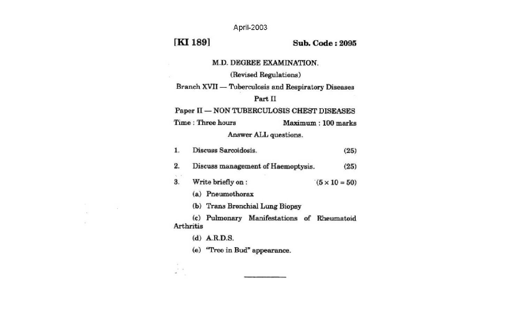April-2003

# [KI 189]

 $\sim$ 

š,

 $\sim$   $\sim$ 

 $\sim$ 

 $\sim$ 

#### **Sub. Code: 2095**

M.D. DEGREE EXAMINATION.

# (Revised Regulations)

Branch XVII — Tuberculosis and Respiratory Diseases

# Part II

Paper II - NON TUBERCULOSIS CHEST DISEASES

Time: Three hours Maximum: 100 marks

#### Answer ALL questions.

|    |           | Discuss Sarcoidosis. |                                            | (25)                 |
|----|-----------|----------------------|--------------------------------------------|----------------------|
| 2. |           |                      | Discuss management of Haemoptysis.         | (25)                 |
| 3. |           | Write briefly on:    |                                            | $(5 \times 10 = 50)$ |
|    |           | (a) Pneumothorax     |                                            |                      |
|    |           |                      | (b) Trans Bronchial Lung Biopsy            |                      |
|    | Arthritis |                      | (c) Pulmonary Manifestations of Rheumatoid |                      |
|    |           | $(d)$ A.R.D.S.       |                                            |                      |
|    |           |                      | (e) "Tree in Bud" appearance.              |                      |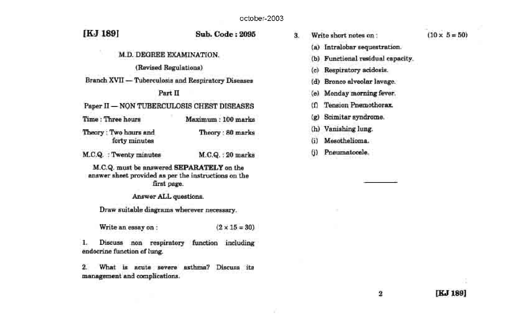[KJ 189]

#### **Sub. Code: 2095**

## M.D. DEGREE EXAMINATION.

#### (Revised Regulations)

**Branch XVII - Tuberculosis and Respiratory Diseases** 

#### Part II

Paper II - NON TUBERCULOSIS CHEST DISEASES

- Time: Three hours Maximum: 100 marks
- Theory: Two hours and Theory: 80 marks forty minutes
- M.C.Q. : Twenty minutes M.C.Q.: 20 marks

M.C.Q. must be answered SEPARATELY on the answer sheet provided as per the instructions on the first page.

Answer ALL questions.

Draw suitable diagrams wherever necessary.

Write an essay on:  $(2 \times 15 = 30)$ 

1., Discuss non respiratory function including endocrine function of lung.

 $\overline{2}$ What is acute severe asthma? Discuss its management and complications.

 $(10 \times 5 = 50)$ 3. Write short notes on: (a) Intralobar sequestration. (b) Functional residual capacity.  $(c)$ Respiratory acidosis. Bronco alveolar lavage.  $(d)$ Monday morning fever.  $(e)$ Tension Pnemothorax. ω Scimitar syndrome.  $\left( \mathbf{r} \right)$ Vanishing lung.  $(h)$ Mesothelioma. (i) Pneumatocele. G)

 $\boldsymbol{2}$ 

**IKJ 1891** 

X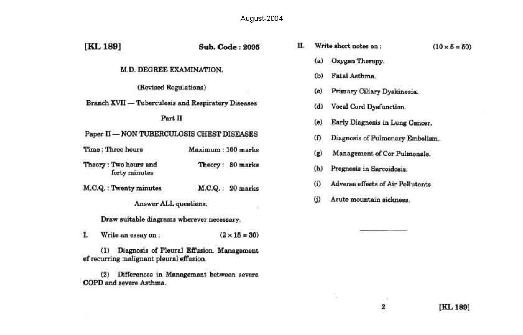August-2004

| [KL 189]                                            | Sub. Code: 2095                           | п |                     | Write short notes on:              | $(10 \times 5 = 50)$ |
|-----------------------------------------------------|-------------------------------------------|---|---------------------|------------------------------------|----------------------|
| M.D. DEGREE EXAMINATION.                            |                                           |   | (a)<br>(b)          | Oxygen Therapy.<br>Fatal Asthma.   |                      |
| (Revised Regulations)                               |                                           |   | (c)                 | Primary Ciliary Dyskinesia.        |                      |
| Branch XVII - Tuberculosis and Respiratory Diseases |                                           |   | (d)                 | Vocal Cord Dysfunction.            |                      |
| Part II                                             |                                           |   | (e)                 | Early Diagnosis in Lung Cancer.    |                      |
| Paper II - NON TUBERCULOSIS CHEST DISEASES          |                                           |   | $\omega$            | Diagnosis of Pulmonary Embolism.   |                      |
| Time: Three hours                                   | Maximum: 100 marks                        |   | (g)                 | Management of Cor Pulmonale.       |                      |
| Theory: Two hours and<br>forty minutes              | Theory: 80 marks                          |   | (h)                 | Prognosis in Sarcoidosis.          |                      |
| M.C.Q.: Twenty minutes                              | M.C.Q.: 20 marks                          |   | $\omega$            | Adverse effects of Air Pollutants. |                      |
| Answer ALL questions.                               |                                           |   | $\langle j \rangle$ | Acute mountain sickness.           |                      |
| Draw suitable diagrams wherever necessary.          |                                           |   |                     |                                    |                      |
| 1.<br>Write an essay on:                            | $(2 \times 15 = 30)$                      |   |                     |                                    |                      |
| (1)<br>of recurring malignant pleural effusion.     | Diagnosis of Pleural Effusion. Management |   |                     |                                    |                      |
| (2)<br>COPD and severe Asthma.                      | Differences in Management between severe  |   |                     |                                    |                      |
|                                                     |                                           |   |                     | L.T.<br>2                          | [KL 189]             |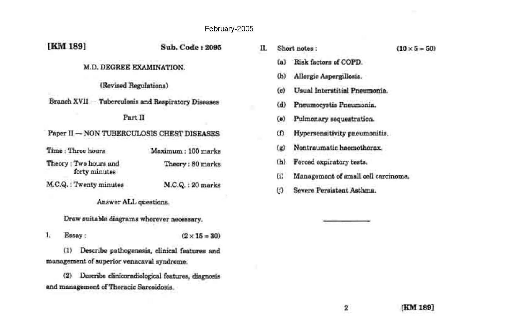### February-2005

| [KM 189]                                            | Sub. Code: 2095    | г |
|-----------------------------------------------------|--------------------|---|
| M.D. DEGREE EXAMINATION.                            |                    |   |
| (Revised Regulations)                               |                    |   |
| Branch XVII - Tuberculosis and Respiratory Diseases |                    |   |
| Part II                                             |                    |   |
| Paper II - NON TUBERCULOSIS CHEST DISEASES          |                    |   |
| Time : Three hours                                  | Maximum: 100 marks |   |
| Theory: Two hours and<br>forty minutes              | Theory: 80 marks   |   |
| M.C.Q.: Twenty minutes                              | M.C.Q.: 20 marks   |   |
| Answer ALL questions.                               |                    |   |

Draw suitable diagrams wherever necessary.

Essay:  $\mathbf{1}_{k}$  $(2 \times 15 = 30)$ 

(1) Describe pathogenesis, clinical features and management of superior venacaval syndrome.

(2) Describe clinicoradiological features, diagnosis and management of Thoracic Sarcoidosis.

| п. | Short notes:   |                                     | $(10 \times 5 = 50)$ |
|----|----------------|-------------------------------------|----------------------|
|    |                | (a) Risk factors of COPD.           |                      |
|    | (b)            | Allergic Aspergillosis.             |                      |
|    | (c)            | Usual Interstitial Pneumonia        |                      |
|    | (d)            | Pneumocystis Pneumonia.             |                      |
|    | (a)            | Pulmonary sequestration.            |                      |
|    | œ.             | Hypersensitivity pneumonitis.       |                      |
|    | $(\mathbf{g})$ | Nontraumatic haemothorax.           |                      |
|    | (h)            | Forced expiratory tests.            |                      |
|    | 65             | Management of small cell carcinoma. |                      |
|    | (f)            | Severe Persistent Asthma.           |                      |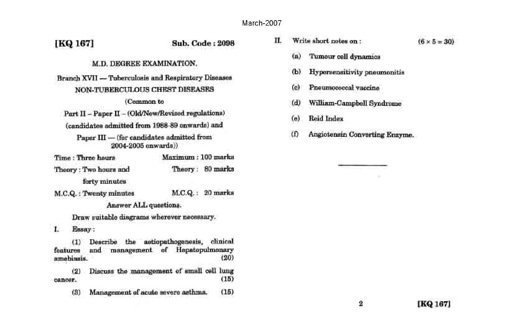п.

# [KQ 167]

## **Sub, Code: 2098**

# M.D. DEGREE EXAMINATION.

Branch XVII - Tuberculosis and Respiratory Diseases NON-TUBERCULOUS CHEST DISEASES

#### (Common to

Part II - Paper II - (Old/New/Revised regulations) (candidates admitted from 1988-89 onwards) and

Paper III - (for candidates admitted from 2004-2005 onwards))

| Time: Three hours     | Maximum : 100 marks |                  |  |  |
|-----------------------|---------------------|------------------|--|--|
| Theory: Two hours and |                     | Theory: 80 marks |  |  |
| forty minutes         |                     |                  |  |  |

M.C.Q.: Twenty minutes M.C.Q.: 20 marks

Answer ALL questions.

Draw suitable diagrams wherever necessary.

L. Essay:

Describe the astiopathogenesis, clinical  $(1)$ and management of Hepatopulmonary features  $(20)$ amebiasis.

Discuss the management of small cell lung  $(2)$  $(15)$ cancer.

 $(15)$ Management of acute severe asthma.  $(3)$ 

| Write short notes on : |                                  | $(6 \times 5 = 30)$ |
|------------------------|----------------------------------|---------------------|
|                        | (a) Tumour cell dynamics         |                     |
|                        | (b) Hypersensitivity pneumonitis |                     |
| (c)                    | Pneumococcal vaccine             |                     |

- $(d)$ William-Campbell Syndrome
- Reid Index  $(e)$
- $(f)$ Angiotensin Converting Enzyme.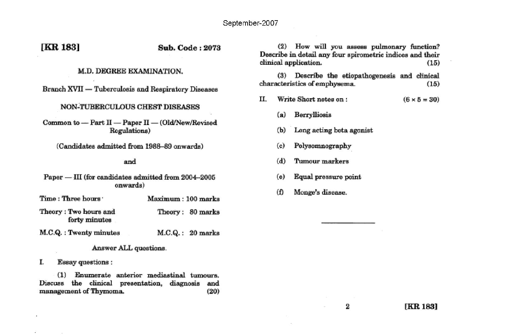# [KR 183]

## **Sub. Code: 2073**

#### M.D. DEGREE EXAMINATION.

Branch XVII - Tuberculosis and Respiratory Diseases

#### NON-TUBERCULOUS CHEST DISEASES

Common to - Part II - Paper II - (Old/New/Revised Regulations)

(Candidates admitted from 1988-89 onwards)

#### and

Paper - III (for candidates admitted from 2004-2005 onwards)

- Time: Three hours Maximum: 100 marks Theory: Two hours and Theory: 80 marks
- M.C.Q.: Twenty minutes  $M.C.Q.: 20 marks$

#### Answer ALL questions.

**Essay questions:** Т.

forty minutes

(1) Enumerate anterior mediastinal tumours. Discuss the clinical presentation, diagnosis and management of Thymoma.  $(20)$ 

(2) How will you assess pulmonary function? Describe in detail any four spirometric indices and their clinical application.  $(15)$ 

(3) Describe the etiopathogenesis and clinical characteristics of emphysema.  $(15)$ 

- Write Short notes on: Н.  $(6 \times 5 = 30)$ 
	- $(a)$ Berrylliosis
	- $(b)$ Long acting beta agonist
	- Polysomnography  $(c)$
	- $(d)$ Tumour markers
	- Equal pressure point  $(e)$
	- Monge's disease. (f)

2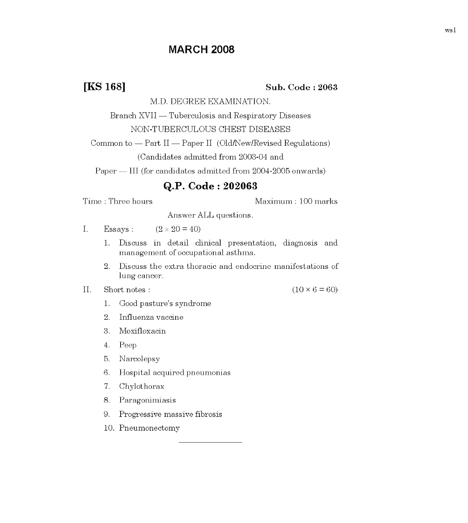# **MARCH 2008**

**IKS 168]** 

#### Sub. Code: 2063

M.D. DEGREE EXAMINATION.

Branch XVII — Tuberculosis and Respiratory Diseases NON-TUBERCULOUS CHEST DISEASES

Common to - Part II - Paper II (Old/New/Revised Regulations)

(Candidates admitted from 2003-04 and

Paper — III (for candidates admitted from 2004-2005 onwards)

# Q.P. Code: 202063

Time: Three hours

Maximum: 100 marks

Answer ALL questions.

- I. Essays:  $(2 \times 20 = 40)$ 
	- Discuss in detail clinical presentation, diagnosis and  $1.$ management of occupational asthma.
	- $2.$ Discuss the extra thoracic and endocrine manifestations of lung cancer.
- Short notes :  $% \left\vert \cdot \right\rangle$  $II.$

 $(10 \times 6 = 60)$ 

- Good pasture's syndrome  $1<sub>1</sub>$
- $2.$ Influenza vaccine
- 3. Moxifloxacin
- 4. Peep
- Narcolepsy 5.
- Hospital acquired pneumonias 6.
- $7.$ Chylothorax
- 8. Paragonimiasis
- Progressive massive fibrosis 9.
- 10. Pneumonectomy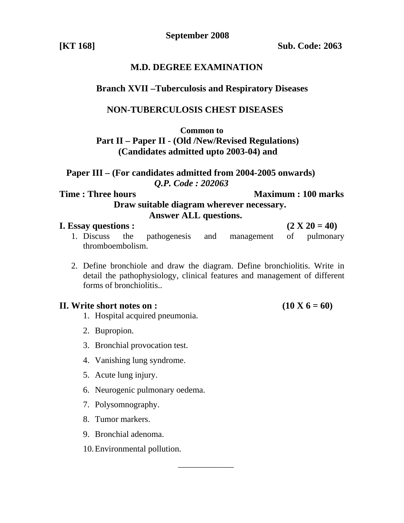**September 2008** 

**[KT 168] Sub. Code: 2063** 

# **M.D. DEGREE EXAMINATION**

# **Branch XVII –Tuberculosis and Respiratory Diseases**

# **NON-TUBERCULOSIS CHEST DISEASES**

**Common to** 

# **Part II – Paper II - (Old /New/Revised Regulations) (Candidates admitted upto 2003-04) and**

 **Paper III – (For candidates admitted from 2004-2005 onwards)**  *Q.P. Code : 202063* 

**Time : Three hours Maximum : 100 marks Draw suitable diagram wherever necessary. Answer ALL questions.** 

# **I.** Essay questions :  $(2 \text{ X } 20 = 40)$

- 1. Discuss the pathogenesis and management of pulmonary thromboembolism.
- 2. Define bronchiole and draw the diagram. Define bronchiolitis. Write in detail the pathophysiology, clinical features and management of different forms of bronchiolitis..

\_\_\_\_\_\_\_\_\_\_\_\_\_

# **II.** Write short notes on :  $(10 \text{ X } 6 = 60)$

- 1. Hospital acquired pneumonia.
- 2. Bupropion.
- 3. Bronchial provocation test.
- 4. Vanishing lung syndrome.
- 5. Acute lung injury.
- 6. Neurogenic pulmonary oedema.
- 7. Polysomnography.
- 8. Tumor markers.
- 9. Bronchial adenoma.
- 10.Environmental pollution.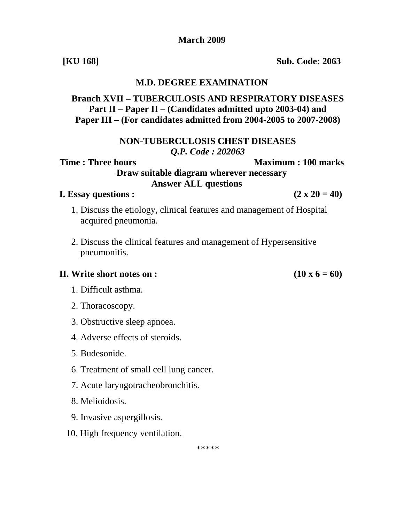\*\*\*\*\*

# 6. Treatment of small cell lung cancer.

### 7. Acute laryngotracheobronchitis.

- 8. Melioidosis.
- 9. Invasive aspergillosis.
- 10. High frequency ventilation.

**[KU 168] Sub. Code: 2063** 

# **M.D. DEGREE EXAMINATION**

# **Branch XVII – TUBERCULOSIS AND RESPIRATORY DISEASES Part II – Paper II – (Candidates admitted upto 2003-04) and Paper III – (For candidates admitted from 2004-2005 to 2007-2008)**

# **NON-TUBERCULOSIS CHEST DISEASES**  *Q.P. Code : 202063*

**Time : Three hours Maximum : 100 marks** 

**Draw suitable diagram wherever necessary Answer ALL questions**

# **I.** Essay questions :  $(2 \times 20 = 40)$

- 1. Discuss the etiology, clinical features and management of Hospital acquired pneumonia.
- 2. Discuss the clinical features and management of Hypersensitive pneumonitis.

# **II.** Write short notes on :  $(10 \times 6 = 60)$

- 1. Difficult asthma.
- 2. Thoracoscopy.
- 3. Obstructive sleep apnoea.
- 4. Adverse effects of steroids.
- 5. Budesonide.
- 
- 
- 
-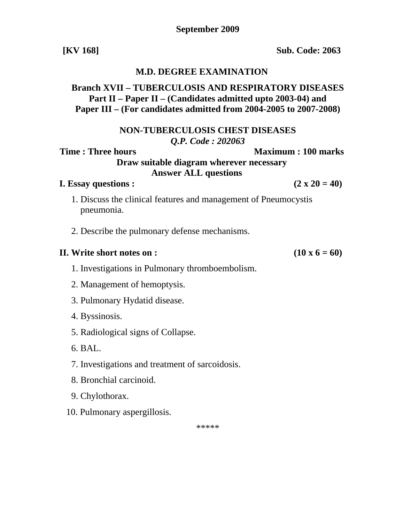**September 2009** 

**[KV 168] Sub. Code: 2063** 

# **M.D. DEGREE EXAMINATION**

# **Branch XVII – TUBERCULOSIS AND RESPIRATORY DISEASES Part II – Paper II – (Candidates admitted upto 2003-04) and Paper III – (For candidates admitted from 2004-2005 to 2007-2008)**

**NON-TUBERCULOSIS CHEST DISEASES**  *Q.P. Code : 202063* 

# **Time : Three hours**  Maximum : 100 marks

**Draw suitable diagram wherever necessary Answer ALL questions**

# **I.** Essay questions :  $(2 \times 20 = 40)$

- 1. Discuss the clinical features and management of Pneumocystis pneumonia.
- 2. Describe the pulmonary defense mechanisms.

## **II.** Write short notes on :  $(10 \times 6 = 60)$

- 1. Investigations in Pulmonary thromboembolism.
- 2. Management of hemoptysis.
- 3. Pulmonary Hydatid disease.
- 4. Byssinosis.
- 5. Radiological signs of Collapse.
- 6. BAL.
- 7. Investigations and treatment of sarcoidosis.
- 8. Bronchial carcinoid.
- 9. Chylothorax.
- 10. Pulmonary aspergillosis.

\*\*\*\*\*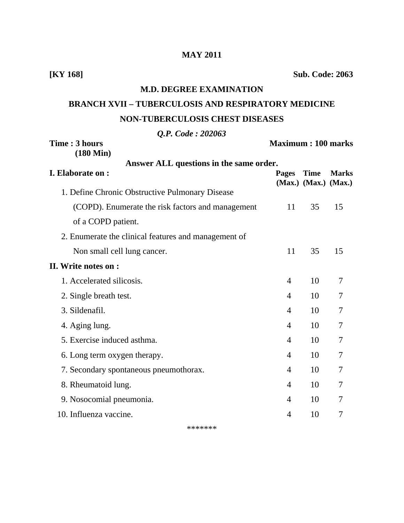# **MAY 2011**

**[KY 168] Sub. Code: 2063** 

# **M.D. DEGREE EXAMINATION**

# **BRANCH XVII – TUBERCULOSIS AND RESPIRATORY MEDICINE NON-TUBERCULOSIS CHEST DISEASES**

 *Q.P. Code : 202063* 

| $\frac{1}{2}$ . $\frac{1}{2}$ . $\frac{1}{2}$ . $\frac{1}{2}$<br>Time: 3 hours |                | <b>Maximum: 100 marks</b>                 |              |  |
|--------------------------------------------------------------------------------|----------------|-------------------------------------------|--------------|--|
| $(180 \text{ Min})$<br>Answer ALL questions in the same order.                 |                |                                           |              |  |
| I. Elaborate on :                                                              | <b>Pages</b>   | <b>Time</b><br>$(Max.)$ $(Max.)$ $(Max.)$ | <b>Marks</b> |  |
| 1. Define Chronic Obstructive Pulmonary Disease                                |                |                                           |              |  |
| (COPD). Enumerate the risk factors and management                              | 11             | 35                                        | 15           |  |
| of a COPD patient.                                                             |                |                                           |              |  |
| 2. Enumerate the clinical features and management of                           |                |                                           |              |  |
| Non small cell lung cancer.                                                    | 11             | 35                                        | 15           |  |
| II. Write notes on :                                                           |                |                                           |              |  |
| 1. Accelerated silicosis.                                                      | 4              | 10                                        | 7            |  |
| 2. Single breath test.                                                         | $\overline{4}$ | 10                                        | 7            |  |
| 3. Sildenafil.                                                                 | $\overline{4}$ | 10                                        | 7            |  |
| 4. Aging lung.                                                                 | $\overline{4}$ | 10                                        | 7            |  |
| 5. Exercise induced asthma.                                                    | $\overline{4}$ | 10                                        | 7            |  |
| 6. Long term oxygen therapy.                                                   | $\overline{4}$ | 10                                        | 7            |  |
| 7. Secondary spontaneous pneumothorax.                                         | $\overline{4}$ | 10                                        | 7            |  |
| 8. Rheumatoid lung.                                                            | $\overline{4}$ | 10                                        | 7            |  |
| 9. Nosocomial pneumonia.                                                       | $\overline{4}$ | 10                                        | 7            |  |
| 10. Influenza vaccine.                                                         | $\overline{4}$ | 10                                        | 7            |  |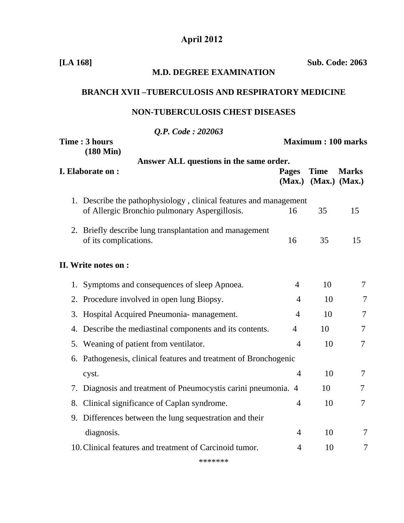# **April 2012**

**[LA 168] Sub. Code: 2063** 

|    | <b>M.D. DEGREE EXAMINATION</b>                                                                                     |                |                                           |              |  |  |
|----|--------------------------------------------------------------------------------------------------------------------|----------------|-------------------------------------------|--------------|--|--|
|    | <b>BRANCH XVII-TUBERCULOSIS AND RESPIRATORY MEDICINE</b>                                                           |                |                                           |              |  |  |
|    | <b>NON-TUBERCULOSIS CHEST DISEASES</b>                                                                             |                |                                           |              |  |  |
|    | Q.P. Code: 202063                                                                                                  |                |                                           |              |  |  |
|    | Time: 3 hours<br>$(180 \text{ Min})$                                                                               |                | <b>Maximum: 100 marks</b>                 |              |  |  |
|    | Answer ALL questions in the same order.                                                                            |                |                                           |              |  |  |
|    | I. Elaborate on :                                                                                                  | <b>Pages</b>   | <b>Time</b><br>$(Max.)$ $(Max.)$ $(Max.)$ | <b>Marks</b> |  |  |
|    | 1. Describe the pathophysiology, clinical features and management<br>of Allergic Bronchio pulmonary Aspergillosis. | 16             | 35                                        | 15           |  |  |
|    | 2. Briefly describe lung transplantation and management<br>of its complications.                                   | 16             | 35                                        | 15           |  |  |
|    | II. Write notes on :                                                                                               |                |                                           |              |  |  |
|    | 1. Symptoms and consequences of sleep Apnoea.                                                                      | $\overline{4}$ | 10                                        | 7            |  |  |
|    | 2. Procedure involved in open lung Biopsy.                                                                         | 4              | 10                                        | 7            |  |  |
|    | 3. Hospital Acquired Pneumonia- management.                                                                        | $\overline{4}$ | 10                                        | 7            |  |  |
|    | 4. Describe the mediastinal components and its contents.                                                           | $\overline{4}$ | 10                                        | 7            |  |  |
|    | 5. Weaning of patient from ventilator.                                                                             | $\overline{4}$ | 10                                        | 7            |  |  |
|    | 6. Pathogenesis, clinical features and treatment of Bronchogenic                                                   |                |                                           |              |  |  |
|    | cyst.                                                                                                              | 4              | 10                                        | 7            |  |  |
|    | 7. Diagnosis and treatment of Pneumocystis carini pneumonia. 4                                                     |                | 10                                        | 7            |  |  |
| 8. | Clinical significance of Caplan syndrome.                                                                          | $\overline{4}$ | 10                                        | 7            |  |  |
| 9. | Differences between the lung sequestration and their                                                               |                |                                           |              |  |  |
|    | diagnosis.                                                                                                         | $\overline{4}$ | 10                                        | 7            |  |  |
|    | 10. Clinical features and treatment of Carcinoid tumor.                                                            | 4              | 10                                        | 7            |  |  |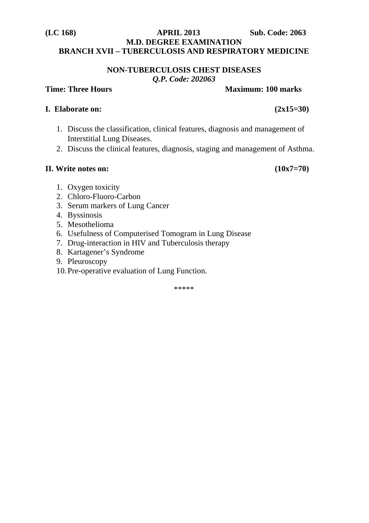# **(LC 168) APRIL 2013 Sub. Code: 2063 M.D. DEGREE EXAMINATION BRANCH XVII – TUBERCULOSIS AND RESPIRATORY MEDICINE**

**NON-TUBERCULOSIS CHEST DISEASES**  *Q.P. Code: 202063* 

# **Time: Three Hours Community Community Community Community Community Community Community Community Community Community Community Community Community Community Community Community Community Community Community Community Com**

# **I. Elaborate on: (2x15=30)**

- 1. Discuss the classification, clinical features, diagnosis and management of Interstitial Lung Diseases.
- 2. Discuss the clinical features, diagnosis, staging and management of Asthma.

# **II.** Write notes on:  $(10x7=70)$

- 1. Oxygen toxicity
- 2. Chloro-Fluoro-Carbon
- 3. Serum markers of Lung Cancer
- 4. Byssinosis
- 5. Mesothelioma
- 6. Usefulness of Computerised Tomogram in Lung Disease
- 7. Drug-interaction in HIV and Tuberculosis therapy
- 8. Kartagener's Syndrome
- 9. Pleuroscopy
- 10.Pre-operative evaluation of Lung Function.

\*\*\*\*\*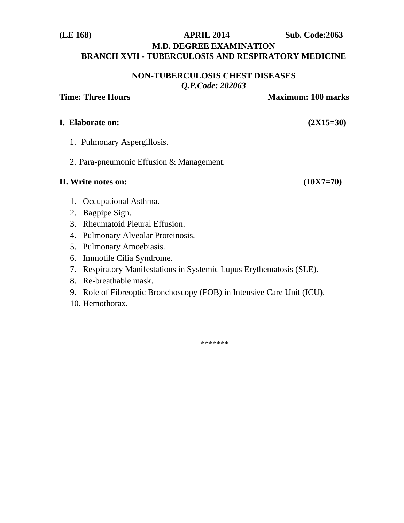# **(LE 168) APRIL 2014 Sub. Code:2063 M.D. DEGREE EXAMINATION BRANCH XVII - TUBERCULOSIS AND RESPIRATORY MEDICINE**

## **NON-TUBERCULOSIS CHEST DISEASES**  *Q.P.Code: 202063*

# **Time: Three Hours Community Community Community Community Community Community Community Community Community Community Community Community Community Community Community Community Community Community Community Community Com**

# **I. Elaborate on: (2X15=30)**

- 1. Pulmonary Aspergillosis.
- 2. Para-pneumonic Effusion & Management.

# **II. Write notes on: (10X7=70)**

- 1. Occupational Asthma.
- 2. Bagpipe Sign.
- 3. Rheumatoid Pleural Effusion.
- 4. Pulmonary Alveolar Proteinosis.
- 5. Pulmonary Amoebiasis.
- 6. Immotile Cilia Syndrome.
- 7. Respiratory Manifestations in Systemic Lupus Erythematosis (SLE).
- 8. Re-breathable mask.
- 9. Role of Fibreoptic Bronchoscopy (FOB) in Intensive Care Unit (ICU).
- 10. Hemothorax.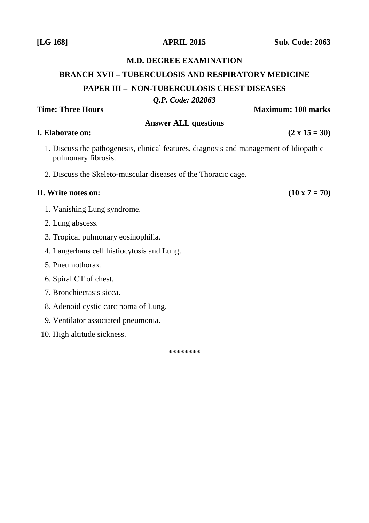# **M.D. DEGREE EXAMINATION**

# **BRANCH XVII – TUBERCULOSIS AND RESPIRATORY MEDICINE PAPER III – NON-TUBERCULOSIS CHEST DISEASES**

*Q.P. Code: 202063*

**Answer ALL questions I.** Elaborate on:  $(2 \times 15 = 30)$ 

- 1. Discuss the pathogenesis, clinical features, diagnosis and management of Idiopathic pulmonary fibrosis.
- 2. Discuss the Skeleto-muscular diseases of the Thoracic cage.

## **II.** Write notes on:  $(10 \times 7 = 70)$

- 1. Vanishing Lung syndrome.
- 2. Lung abscess.
- 3. Tropical pulmonary eosinophilia.
- 4. Langerhans cell histiocytosis and Lung.
- 5. Pneumothorax.
- 6. Spiral CT of chest.
- 7. Bronchiectasis sicca.
- 8. Adenoid cystic carcinoma of Lung.
- 9. Ventilator associated pneumonia.
- 10. High altitude sickness.

\*\*\*\*\*\*\*\*

# **Time: Three Hours 100 marks Maximum: 100 marks**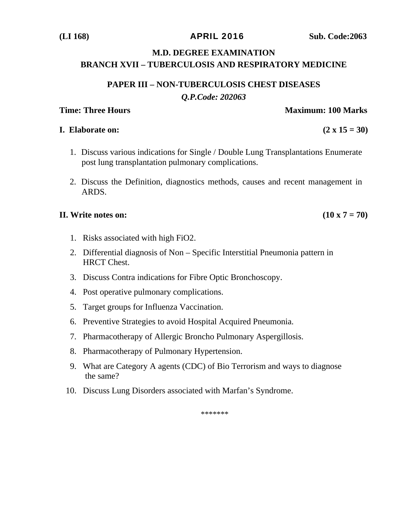# **M.D. DEGREE EXAMINATION**

# **BRANCH XVII – TUBERCULOSIS AND RESPIRATORY MEDICINE**

# **PAPER III – NON-TUBERCULOSIS CHEST DISEASES**  *Q.P.Code: 202063*

# **Time: Three Hours A. A. A. A. A. A. A. A. A. A. Maximum: 100 Marks Maximum: 100 Marks**

# **I.** Elaborate on:  $(2 \times 15 = 30)$

- 1. Discuss various indications for Single / Double Lung Transplantations Enumerate post lung transplantation pulmonary complications.
- 2. Discuss the Definition, diagnostics methods, causes and recent management in ARDS.

# **II.** Write notes on:  $(10 \times 7 = 70)$

- 1. Risks associated with high FiO2.
- 2. Differential diagnosis of Non Specific Interstitial Pneumonia pattern in HRCT Chest.
- 3. Discuss Contra indications for Fibre Optic Bronchoscopy.
- 4. Post operative pulmonary complications.
- 5. Target groups for Influenza Vaccination.
- 6. Preventive Strategies to avoid Hospital Acquired Pneumonia.
- 7. Pharmacotherapy of Allergic Broncho Pulmonary Aspergillosis.
- 8. Pharmacotherapy of Pulmonary Hypertension.
- 9. What are Category A agents (CDC) of Bio Terrorism and ways to diagnose the same?
- 10. Discuss Lung Disorders associated with Marfan's Syndrome.

\*\*\*\*\*\*\*

# **(LI 168)** APRIL 2016 **Sub. Code:2063**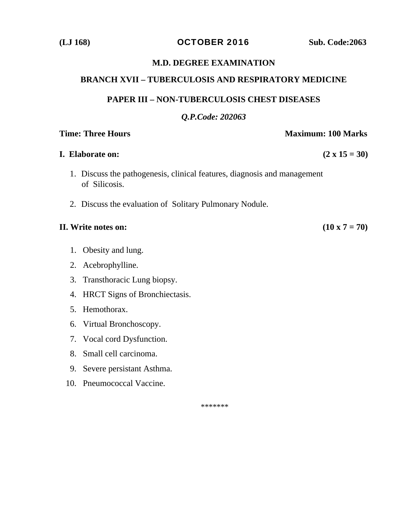**(LJ 168)** OCTOBER 2016 **Sub. Code:2063** 

# **M.D. DEGREE EXAMINATION**

# **BRANCH XVII – TUBERCULOSIS AND RESPIRATORY MEDICINE**

# **PAPER III – NON-TUBERCULOSIS CHEST DISEASES**

# *Q.P.Code: 202063*

# **Time: Three Hours**  Maximum: 100 Marks

# **I.** Elaborate on:  $(2 \times 15 = 30)$

- 1. Discuss the pathogenesis, clinical features, diagnosis and management of Silicosis.
- 2. Discuss the evaluation of Solitary Pulmonary Nodule.

# **II.** Write notes on:  $(10 \times 7 = 70)$

- 1. Obesity and lung.
- 2. Acebrophylline.
- 3. Transthoracic Lung biopsy.
- 4. HRCT Signs of Bronchiectasis.
- 5. Hemothorax.
- 6. Virtual Bronchoscopy.
- 7. Vocal cord Dysfunction.
- 8. Small cell carcinoma.
- 9. Severe persistant Asthma.
- 10. Pneumococcal Vaccine.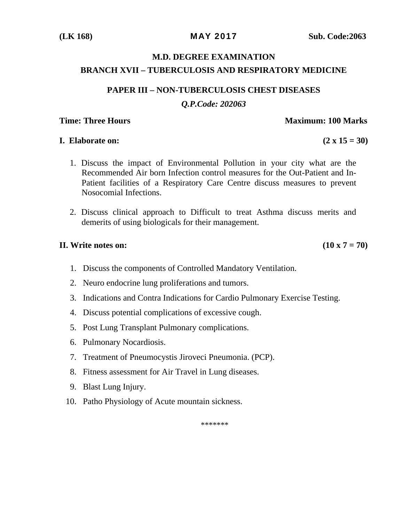# **M.D. DEGREE EXAMINATION BRANCH XVII – TUBERCULOSIS AND RESPIRATORY MEDICINE**

# **PAPER III – NON-TUBERCULOSIS CHEST DISEASES**

# *Q.P.Code: 202063*

# **Time: Three Hours A. A. A. A. A. A. A. A. A. A. Maximum: 100 Marks Maximum: 100 Marks**

### **I. Elaborate on:**  $(2 \times 15 = 30)$

- 
- 1. Discuss the impact of Environmental Pollution in your city what are the Recommended Air born Infection control measures for the Out-Patient and In-Patient facilities of a Respiratory Care Centre discuss measures to prevent Nosocomial Infections.
- 2. Discuss clinical approach to Difficult to treat Asthma discuss merits and demerits of using biologicals for their management.

# **II.** Write notes on:  $(10 \times 7 = 70)$

- 1. Discuss the components of Controlled Mandatory Ventilation.
- 2. Neuro endocrine lung proliferations and tumors.
- 3. Indications and Contra Indications for Cardio Pulmonary Exercise Testing.
- 4. Discuss potential complications of excessive cough.
- 5. Post Lung Transplant Pulmonary complications.
- 6. Pulmonary Nocardiosis.
- 7. Treatment of Pneumocystis Jiroveci Pneumonia. (PCP).
- 8. Fitness assessment for Air Travel in Lung diseases.
- 9. Blast Lung Injury.
- 10. Patho Physiology of Acute mountain sickness.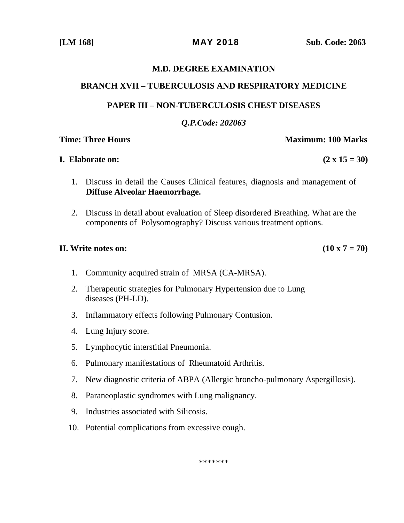#### **M.D. DEGREE EXAMINATION**

### **BRANCH XVII – TUBERCULOSIS AND RESPIRATORY MEDICINE**

## **PAPER III – NON-TUBERCULOSIS CHEST DISEASES**

### *Q.P.Code: 202063*

### **Time: Three Hours A. A. A. A. A. A. A. A. A. A. Maximum: 100 Marks Maximum: 100 Marks**

#### **I.** Elaborate on:  $(2 \times 15 = 30)$

# 1. Discuss in detail the Causes Clinical features, diagnosis and management of **Diffuse Alveolar Haemorrhage.**

2. Discuss in detail about evaluation of Sleep disordered Breathing. What are the components of Polysomography? Discuss various treatment options.

### **II.** Write notes on:  $(10 \times 7 = 70)$

- 1. Community acquired strain of MRSA (CA-MRSA).
- 2. Therapeutic strategies for Pulmonary Hypertension due to Lung diseases (PH-LD).
- 3. Inflammatory effects following Pulmonary Contusion.
- 4. Lung Injury score.
- 5. Lymphocytic interstitial Pneumonia.
- 6. Pulmonary manifestations of Rheumatoid Arthritis.
- 7. New diagnostic criteria of ABPA (Allergic broncho-pulmonary Aspergillosis).
- 8. Paraneoplastic syndromes with Lung malignancy.
- 9. Industries associated with Silicosis.
- 10. Potential complications from excessive cough.